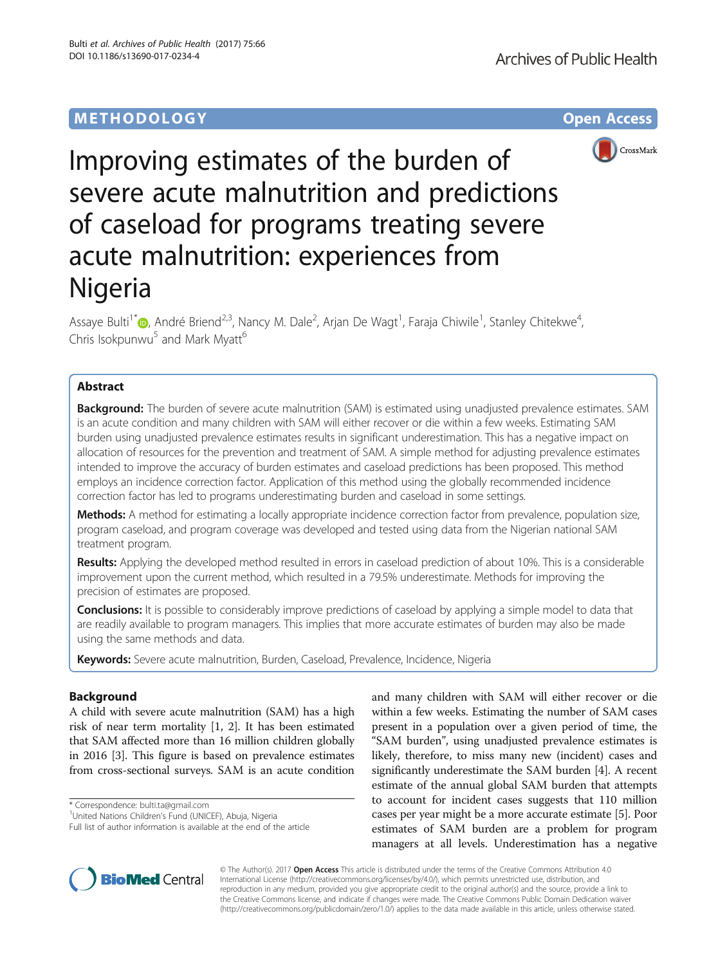

Improving estimates of the burden of severe acute malnutrition and predictions of caseload for programs treating severe acute malnutrition: experiences from Nigeria

Assaye Bulti<sup>1\*</sup>®[,](http://orcid.org/0000-0001-9635-3887) André Briend<sup>2,3</sup>, Nancy M. Dale<sup>2</sup>, Arjan De Wagt<sup>1</sup>, Faraja Chiwile<sup>1</sup>, Stanley Chitekwe<sup>4</sup> , Chris Isokpunwu<sup>5</sup> and Mark Myatt<sup>6</sup>

# Abstract

**Background:** The burden of severe acute malnutrition (SAM) is estimated using unadjusted prevalence estimates. SAM is an acute condition and many children with SAM will either recover or die within a few weeks. Estimating SAM burden using unadjusted prevalence estimates results in significant underestimation. This has a negative impact on allocation of resources for the prevention and treatment of SAM. A simple method for adjusting prevalence estimates intended to improve the accuracy of burden estimates and caseload predictions has been proposed. This method employs an incidence correction factor. Application of this method using the globally recommended incidence correction factor has led to programs underestimating burden and caseload in some settings.

Methods: A method for estimating a locally appropriate incidence correction factor from prevalence, population size, program caseload, and program coverage was developed and tested using data from the Nigerian national SAM treatment program.

Results: Applying the developed method resulted in errors in caseload prediction of about 10%. This is a considerable improvement upon the current method, which resulted in a 79.5% underestimate. Methods for improving the precision of estimates are proposed.

**Conclusions:** It is possible to considerably improve predictions of caseload by applying a simple model to data that are readily available to program managers. This implies that more accurate estimates of burden may also be made using the same methods and data.

Keywords: Severe acute malnutrition, Burden, Caseload, Prevalence, Incidence, Nigeria

# Background

A child with severe acute malnutrition (SAM) has a high risk of near term mortality [[1, 2\]](#page-7-0). It has been estimated that SAM affected more than 16 million children globally in 2016 [\[3](#page-7-0)]. This figure is based on prevalence estimates from cross-sectional surveys. SAM is an acute condition

\* Correspondence: [bulti.ta@gmail.com](mailto:bulti.ta@gmail.com) <sup>1</sup>

Full list of author information is available at the end of the article

and many children with SAM will either recover or die within a few weeks. Estimating the number of SAM cases present in a population over a given period of time, the "SAM burden", using unadjusted prevalence estimates is likely, therefore, to miss many new (incident) cases and significantly underestimate the SAM burden [\[4](#page-7-0)]. A recent estimate of the annual global SAM burden that attempts to account for incident cases suggests that 110 million cases per year might be a more accurate estimate [[5\]](#page-7-0). Poor estimates of SAM burden are a problem for program managers at all levels. Underestimation has a negative



© The Author(s). 2017 Open Access This article is distributed under the terms of the Creative Commons Attribution 4.0 International License [\(http://creativecommons.org/licenses/by/4.0/](http://creativecommons.org/licenses/by/4.0/)), which permits unrestricted use, distribution, and reproduction in any medium, provided you give appropriate credit to the original author(s) and the source, provide a link to the Creative Commons license, and indicate if changes were made. The Creative Commons Public Domain Dedication waiver [\(http://creativecommons.org/publicdomain/zero/1.0/](http://creativecommons.org/publicdomain/zero/1.0/)) applies to the data made available in this article, unless otherwise stated.

<sup>&</sup>lt;sup>1</sup>United Nations Children's Fund (UNICEF), Abuja, Nigeria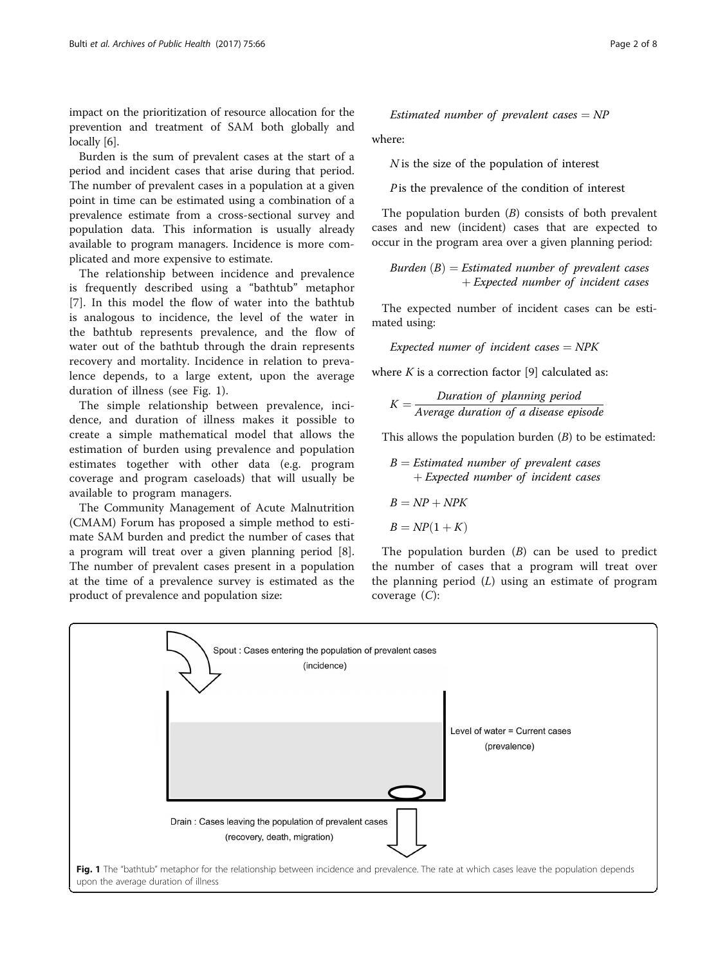impact on the prioritization of resource allocation for the prevention and treatment of SAM both globally and locally [[6\]](#page-7-0).

Burden is the sum of prevalent cases at the start of a period and incident cases that arise during that period. The number of prevalent cases in a population at a given point in time can be estimated using a combination of a prevalence estimate from a cross-sectional survey and population data. This information is usually already available to program managers. Incidence is more complicated and more expensive to estimate.

The relationship between incidence and prevalence is frequently described using a "bathtub" metaphor [[7\]](#page-7-0). In this model the flow of water into the bathtub is analogous to incidence, the level of the water in the bathtub represents prevalence, and the flow of water out of the bathtub through the drain represents recovery and mortality. Incidence in relation to prevalence depends, to a large extent, upon the average duration of illness (see Fig. 1).

The simple relationship between prevalence, incidence, and duration of illness makes it possible to create a simple mathematical model that allows the estimation of burden using prevalence and population estimates together with other data (e.g. program coverage and program caseloads) that will usually be available to program managers.

The Community Management of Acute Malnutrition (CMAM) Forum has proposed a simple method to estimate SAM burden and predict the number of cases that a program will treat over a given planning period [\[8](#page-7-0)]. The number of prevalent cases present in a population at the time of a prevalence survey is estimated as the product of prevalence and population size:

where:

N is the size of the population of interest

 $P$  is the prevalence of the condition of interest

The population burden  $(B)$  consists of both prevalent cases and new (incident) cases that are expected to occur in the program area over a given planning period:

\n**Burden** 
$$
(B) = Estimated number of prevalent cases + Expected number of incident cases\n
$$
\n

The expected number of incident cases can be estimated using:

Expected numer of incident cases  $= NPK$ 

where  $K$  is a correction factor [[9\]](#page-7-0) calculated as:

$$
K = \frac{Duration \ of \ planning \ period}{Average \ duration \ of \ a \ disease \ episode}
$$

This allows the population burden  $(B)$  to be estimated:

 $B =$  Estimated number of prevalent cases  $+$  Expected number of incident cases

$$
B = NP + NPK
$$

$$
B = NP(1 + K)
$$

The population burden  $(B)$  can be used to predict the number of cases that a program will treat over the planning period  $(L)$  using an estimate of program coverage  $(C)$ :

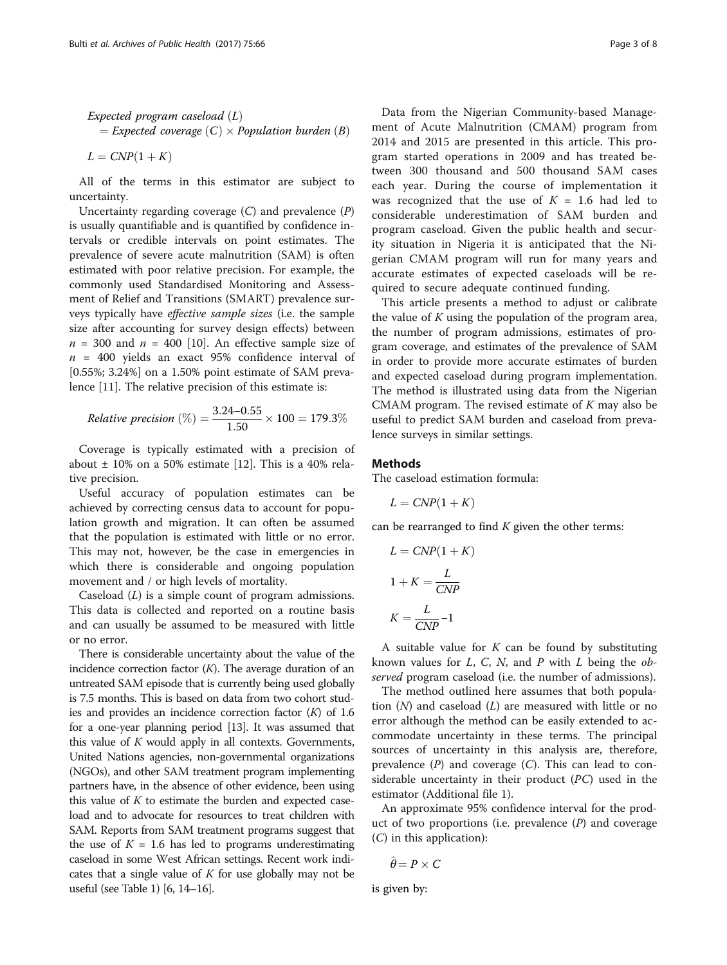Expected program caseload  $(L)$  $=$  Expected coverage  $(C) \times$  Population burden  $(B)$ 

 $L = CNP(1 + K)$ 

All of the terms in this estimator are subject to uncertainty.

Uncertainty regarding coverage  $(C)$  and prevalence  $(P)$ is usually quantifiable and is quantified by confidence intervals or credible intervals on point estimates. The prevalence of severe acute malnutrition (SAM) is often estimated with poor relative precision. For example, the commonly used Standardised Monitoring and Assessment of Relief and Transitions (SMART) prevalence surveys typically have effective sample sizes (i.e. the sample size after accounting for survey design effects) between  $n = 300$  and  $n = 400$  [\[10](#page-7-0)]. An effective sample size of  $n = 400$  yields an exact 95% confidence interval of  $[0.55\%; 3.24\%]$  on a 1.50% point estimate of SAM prevalence [[11\]](#page-7-0). The relative precision of this estimate is:

*Relative precision* (
$$
\%
$$
) =  $\frac{3.24 - 0.55}{1.50} \times 100 = 179.3\%$ 

Coverage is typically estimated with a precision of about  $\pm$  10% on a 50% estimate [[12](#page-7-0)]. This is a 40% relative precision.

Useful accuracy of population estimates can be achieved by correcting census data to account for population growth and migration. It can often be assumed that the population is estimated with little or no error. This may not, however, be the case in emergencies in which there is considerable and ongoing population movement and / or high levels of mortality.

Caseload  $(L)$  is a simple count of program admissions. This data is collected and reported on a routine basis and can usually be assumed to be measured with little or no error.

There is considerable uncertainty about the value of the incidence correction factor  $(K)$ . The average duration of an untreated SAM episode that is currently being used globally is 7.5 months. This is based on data from two cohort studies and provides an incidence correction factor  $(K)$  of 1.6 for a one-year planning period [\[13\]](#page-7-0). It was assumed that this value of  $K$  would apply in all contexts. Governments, United Nations agencies, non-governmental organizations (NGOs), and other SAM treatment program implementing partners have, in the absence of other evidence, been using this value of  $K$  to estimate the burden and expected caseload and to advocate for resources to treat children with SAM. Reports from SAM treatment programs suggest that the use of  $K = 1.6$  has led to programs underestimating caseload in some West African settings. Recent work indicates that a single value of  $K$  for use globally may not be useful (see Table [1](#page-3-0)) [[6](#page-7-0), [14](#page-7-0)–[16\]](#page-7-0).

Data from the Nigerian Community-based Management of Acute Malnutrition (CMAM) program from 2014 and 2015 are presented in this article. This program started operations in 2009 and has treated between 300 thousand and 500 thousand SAM cases each year. During the course of implementation it was recognized that the use of  $K = 1.6$  had led to considerable underestimation of SAM burden and program caseload. Given the public health and security situation in Nigeria it is anticipated that the Nigerian CMAM program will run for many years and accurate estimates of expected caseloads will be required to secure adequate continued funding.

This article presents a method to adjust or calibrate the value of  $K$  using the population of the program area, the number of program admissions, estimates of program coverage, and estimates of the prevalence of SAM in order to provide more accurate estimates of burden and expected caseload during program implementation. The method is illustrated using data from the Nigerian CMAM program. The revised estimate of  $K$  may also be useful to predict SAM burden and caseload from prevalence surveys in similar settings.

### **Methods**

The caseload estimation formula:

$$
L = CNP(1 + K)
$$

can be rearranged to find  $K$  given the other terms:

$$
L = CNP(1 + K)
$$

$$
1 + K = \frac{L}{CNP}
$$

$$
K = \frac{L}{CNP} - 1
$$

A suitable value for  $K$  can be found by substituting known values for  $L$ ,  $C$ ,  $N$ , and  $P$  with  $L$  being the  $ob$ served program caseload (i.e. the number of admissions).

The method outlined here assumes that both population  $(N)$  and caseload  $(L)$  are measured with little or no error although the method can be easily extended to accommodate uncertainty in these terms. The principal sources of uncertainty in this analysis are, therefore, prevalence  $(P)$  and coverage  $(C)$ . This can lead to considerable uncertainty in their product (PC) used in the estimator (Additional file [1\)](#page-6-0).

An approximate 95% confidence interval for the product of two proportions (i.e. prevalence  $(P)$  and coverage (C) in this application):

$$
\widehat{\theta} = P \times C
$$

is given by: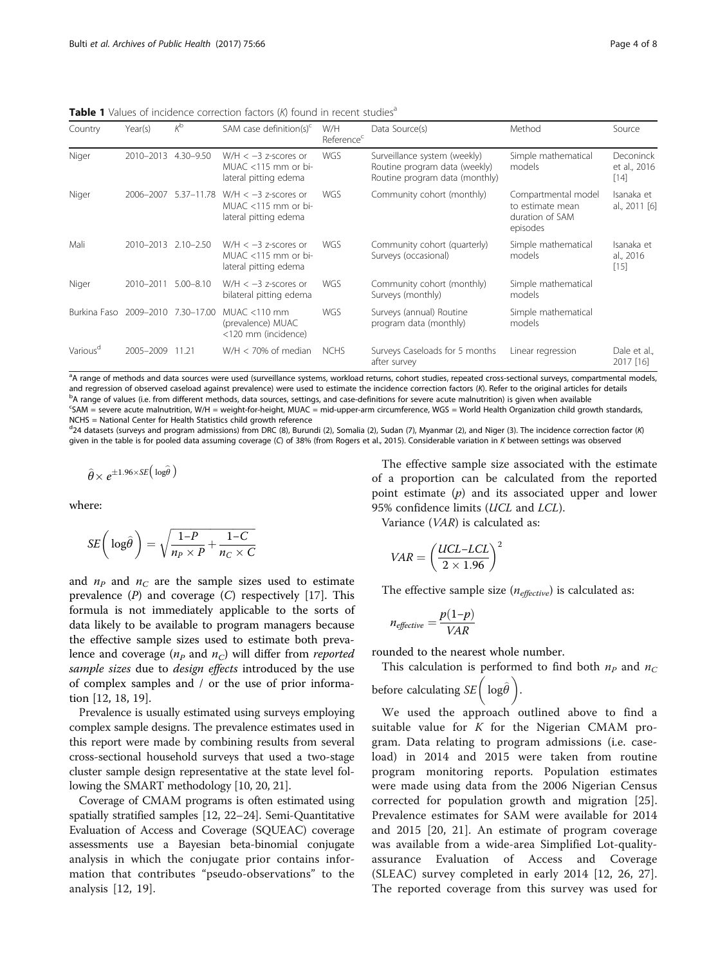<span id="page-3-0"></span>**Table 1** Values of incidence correction factors  $(K)$  found in recent studies<sup>a</sup>

| Country              | Year(s)   | $k_{p}$       | SAM case definition(s) $c$                                                | W/H<br>Reference <sup>c</sup> | Data Source(s)                                                                                  | Method                                                                 | Source                            |
|----------------------|-----------|---------------|---------------------------------------------------------------------------|-------------------------------|-------------------------------------------------------------------------------------------------|------------------------------------------------------------------------|-----------------------------------|
| Niger                | 2010-2013 | $4.30 - 9.50$ | W/H $<-3$ z-scores or<br>$MUAC < 115$ mm or bi-<br>lateral pitting edema  | <b>WGS</b>                    | Surveillance system (weekly)<br>Routine program data (weekly)<br>Routine program data (monthly) | Simple mathematical<br>models                                          | Deconinck<br>et al., 2016<br>[14] |
| Niger                | 2006-2007 | 5.37-11.78    | W/H $<-3$ z-scores or<br>$MUAC < 115$ mm or bi-<br>lateral pitting edema  | WGS                           | Community cohort (monthly)                                                                      | Compartmental model<br>to estimate mean<br>duration of SAM<br>episodes | Isanaka et<br>al., 2011 [6]       |
| Mali                 | 2010-2013 | $2.10 - 2.50$ | $W/H < -3$ z-scores or<br>MUAC $<$ 115 mm or bi-<br>lateral pitting edema | <b>WGS</b>                    | Community cohort (quarterly)<br>Surveys (occasional)                                            | Simple mathematical<br>models                                          | Isanaka et<br>al., 2016<br>$[15]$ |
| Niger                | 2010-2011 | $5.00 - 8.10$ | $W/H < -3$ z-scores or<br>bilateral pitting edema                         | <b>WGS</b>                    | Community cohort (monthly)<br>Surveys (monthly)                                                 | Simple mathematical<br>models                                          |                                   |
| Burkina Faso         | 2009-2010 | 7.30-17.00    | $MUAC < 110$ mm<br>(prevalence) MUAC<br><120 mm (incidence)               | <b>WGS</b>                    | Surveys (annual) Routine<br>program data (monthly)                                              | Simple mathematical<br>models                                          |                                   |
| Various <sup>d</sup> | 2005-2009 | 11.21         | $W/H < 70\%$ of median                                                    | <b>NCHS</b>                   | Surveys Caseloads for 5 months<br>after survey                                                  | Linear regression                                                      | Dale et al.,<br>2017 [16]         |

<sup>a</sup>A range of methods and data sources were used (surveillance systems, workload returns, cohort studies, repeated cross-sectional surveys, compartmental models, and regression of observed caseload against prevalence) were used to estimate the incidence correction factors (K). Refer to the original articles for details  $^{\rm b}$ A range of values (i.e. from different methods, data sources, settings, and case-definitions for severe acute malnutrition) is given when available c SAM = severe acute malnutrition, W/H = weight-for-height, MUAC = mid-upper-arm circumference, WGS = World Health Organization child growth standards, NCHS = National Center for Health Statistics child growth reference

<sup>d</sup>24 datasets (surveys and program admissions) from DRC (8), Burundi (2), Somalia (2), Sudan (7), Myanmar (2), and Niger (3). The incidence correction factor (K)<br>given in the table is for pooled data assuming coverage (O given in the table is for pooled data assuming coverage (C) of 38% (from Rogers et al., 2015). Considerable variation in K between settings was observed

$$
\widehat{\theta} \times e^{\pm 1.96 \times SE\left(\log \widehat{\theta}\right)}
$$

where:

$$
SE\left(\log\widehat{\theta}\right) = \sqrt{\frac{1-P}{n_P \times P} + \frac{1-C}{n_C \times C}}
$$

and  $n_P$  and  $n_C$  are the sample sizes used to estimate prevalence  $(P)$  and coverage  $(C)$  respectively [[17\]](#page-7-0). This formula is not immediately applicable to the sorts of data likely to be available to program managers because the effective sample sizes used to estimate both prevalence and coverage ( $n<sub>P</sub>$  and  $n<sub>C</sub>$ ) will differ from *reported* sample sizes due to *design effects* introduced by the use of complex samples and / or the use of prior information [\[12,](#page-7-0) [18,](#page-7-0) [19\]](#page-7-0).

Prevalence is usually estimated using surveys employing complex sample designs. The prevalence estimates used in this report were made by combining results from several cross-sectional household surveys that used a two-stage cluster sample design representative at the state level following the SMART methodology [\[10, 20](#page-7-0), [21](#page-7-0)].

Coverage of CMAM programs is often estimated using spatially stratified samples [[12](#page-7-0), [22](#page-7-0)–[24\]](#page-7-0). Semi-Quantitative Evaluation of Access and Coverage (SQUEAC) coverage assessments use a Bayesian beta-binomial conjugate analysis in which the conjugate prior contains information that contributes "pseudo-observations" to the analysis [[12, 19](#page-7-0)].

The effective sample size associated with the estimate of a proportion can be calculated from the reported point estimate  $(p)$  and its associated upper and lower 95% confidence limits (UCL and LCL).

Variance (VAR) is calculated as:

$$
VAR = \left(\frac{UCL-LCL}{2 \times 1.96}\right)^2
$$

The effective sample size ( $n_{effective}$ ) is calculated as:

$$
n_{effective} = \frac{p(1-p)}{VAR}
$$

rounded to the nearest whole number.

This calculation is performed to find both  $n_P$  and  $n_C$ before calculating  $SE( \log \hat{\theta})$ .

We used the approach outlined above to find a suitable value for  $K$  for the Nigerian CMAM program. Data relating to program admissions (i.e. caseload) in 2014 and 2015 were taken from routine program monitoring reports. Population estimates were made using data from the 2006 Nigerian Census corrected for population growth and migration [\[25](#page-7-0)]. Prevalence estimates for SAM were available for 2014 and 2015 [\[20](#page-7-0), [21\]](#page-7-0). An estimate of program coverage was available from a wide-area Simplified Lot-qualityassurance Evaluation of Access and Coverage (SLEAC) survey completed in early 2014 [[12, 26](#page-7-0), [27](#page-7-0)]. The reported coverage from this survey was used for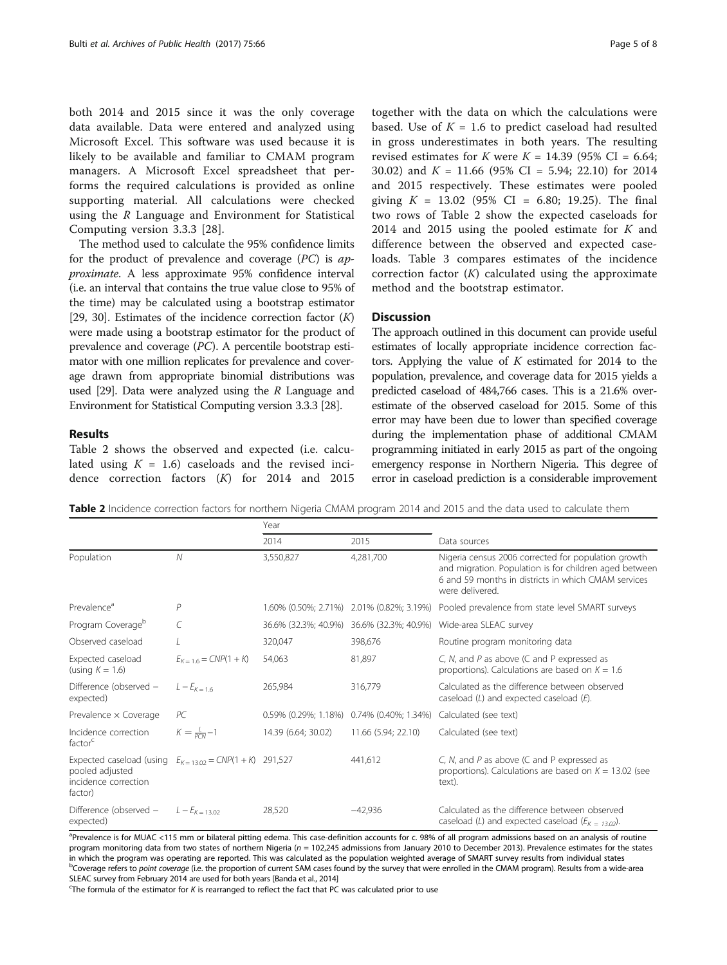both 2014 and 2015 since it was the only coverage data available. Data were entered and analyzed using Microsoft Excel. This software was used because it is likely to be available and familiar to CMAM program managers. A Microsoft Excel spreadsheet that performs the required calculations is provided as online supporting material. All calculations were checked using the R Language and Environment for Statistical Computing version 3.3.3 [\[28\]](#page-7-0).

The method used to calculate the 95% confidence limits for the product of prevalence and coverage  $(PC)$  is approximate. A less approximate 95% confidence interval (i.e. an interval that contains the true value close to 95% of the time) may be calculated using a bootstrap estimator [[29](#page-7-0), [30\]](#page-7-0). Estimates of the incidence correction factor  $(K)$ were made using a bootstrap estimator for the product of prevalence and coverage (PC). A percentile bootstrap estimator with one million replicates for prevalence and coverage drawn from appropriate binomial distributions was used  $[29]$  $[29]$  $[29]$ . Data were analyzed using the R Language and Environment for Statistical Computing version 3.3.3 [\[28](#page-7-0)].

### Results

Table 2 shows the observed and expected (i.e. calculated using  $K = 1.6$ ) caseloads and the revised incidence correction factors (K) for 2014 and 2015

together with the data on which the calculations were based. Use of  $K = 1.6$  to predict caseload had resulted in gross underestimates in both years. The resulting revised estimates for K were  $K = 14.39$  (95% CI = 6.64; 30.02) and  $K = 11.66$  (95% CI = 5.94; 22.10) for 2014 and 2015 respectively. These estimates were pooled giving  $K = 13.02$  (95% CI = 6.80; 19.25). The final two rows of Table 2 show the expected caseloads for 2014 and 2015 using the pooled estimate for  $K$  and difference between the observed and expected caseloads. Table [3](#page-5-0) compares estimates of the incidence correction factor  $(K)$  calculated using the approximate method and the bootstrap estimator.

## Discussion

The approach outlined in this document can provide useful estimates of locally appropriate incidence correction factors. Applying the value of  $K$  estimated for 2014 to the population, prevalence, and coverage data for 2015 yields a predicted caseload of 484,766 cases. This is a 21.6% overestimate of the observed caseload for 2015. Some of this error may have been due to lower than specified coverage during the implementation phase of additional CMAM programming initiated in early 2015 as part of the ongoing emergency response in Northern Nigeria. This degree of error in caseload prediction is a considerable improvement

Table 2 Incidence correction factors for northern Nigeria CMAM program 2014 and 2015 and the data used to calculate them

|                                                                                |                                    | Year                 |                                           |                                                                                                                                                                                                                                               |  |
|--------------------------------------------------------------------------------|------------------------------------|----------------------|-------------------------------------------|-----------------------------------------------------------------------------------------------------------------------------------------------------------------------------------------------------------------------------------------------|--|
|                                                                                |                                    | 2014                 | 2015                                      | Data sources                                                                                                                                                                                                                                  |  |
| Population                                                                     | $\mathcal N$                       | 3,550,827            | 4,281,700                                 | Nigeria census 2006 corrected for population growth<br>and migration. Population is for children aged betweer<br>6 and 59 months in districts in which CMAM services<br>were delivered.                                                       |  |
| Prevalence <sup>a</sup>                                                        | P                                  | 1.60% (0.50%; 2.71%) | 2.01% (0.82%; 3.19%)                      | Pooled prevalence from state level SMART surveys                                                                                                                                                                                              |  |
| Program Coverage <sup>b</sup>                                                  | C                                  |                      | 36.6% (32.3%; 40.9%) 36.6% (32.3%; 40.9%) | Wide-area SLEAC survey                                                                                                                                                                                                                        |  |
| Observed caseload                                                              |                                    | 320,047              | 398,676                                   | Routine program monitoring data                                                                                                                                                                                                               |  |
| Expected caseload<br>(using $K = 1.6$ )                                        | $E_{K=1.6} = CNP(1 + K)$           | 54,063               | 81.897                                    | C, N, and P as above (C and P expressed as<br>proportions). Calculations are based on $K = 1.6$                                                                                                                                               |  |
| Difference (observed -<br>expected)                                            | $L - E_{K = 1.6}$                  | 265,984              | 316,779                                   | Calculated as the difference between observed<br>caseload $(L)$ and expected caseload $(E)$ .                                                                                                                                                 |  |
| Prevalence x Coverage                                                          | PC                                 | 0.59% (0.29%; 1.18%) | $0.74\%$ (0.40%: 1.34%)                   | Calculated (see text)                                                                                                                                                                                                                         |  |
| Incidence correction<br>factor <sup>c</sup>                                    | $K=\frac{L}{PCN}-1$                | 14.39 (6.64; 30.02)  | 11.66 (5.94; 22.10)                       | Calculated (see text)                                                                                                                                                                                                                         |  |
| Expected caseload (using<br>pooled adjusted<br>incidence correction<br>factor) | $E_{K=13.02} = CNP(1 + K)$ 291,527 |                      | 441,612                                   | C, N, and P as above (C and P expressed as<br>proportions). Calculations are based on $K = 13.02$ (see<br>text).                                                                                                                              |  |
| Difference (observed -<br>expected)                                            | $L - E_{K=13,02}$                  | 28,520               | $-42.936$                                 | Calculated as the difference between observed<br>caseload (L) and expected caseload ( $E_{K} = 1302$ ).                                                                                                                                       |  |
|                                                                                |                                    |                      |                                           | $\partial D_{22}$ , and the $L_{22}$ and $\Delta L_{22}$ are the state of the set of the set of $L_{22}$ are the set of the set of the set of the set of the set of the set of the set of the set of the set of the set of the set of the set |  |

<sup>a</sup>Prevalence is for MUAC <115 mm or bilateral pitting edema. This case-definition accounts for c. 98% of all program admissions based on an analysis of routine program monitoring data from two states of northern Nigeria (n = 102,245 admissions from January 2010 to December 2013). Prevalence estimates for the states in which the program was operating are reported. This was calculated as the population weighted average of SMART survey results from individual states <sup>b</sup>Coverage refers to point coverage (i.e. the proportion of current SAM cases found by the survey that were enrolled in the CMAM program). Results from a wide-area SLEAC survey from February 2014 are used for both years [Banda et al., 2014]

The formula of the estimator for K is rearranged to reflect the fact that PC was calculated prior to use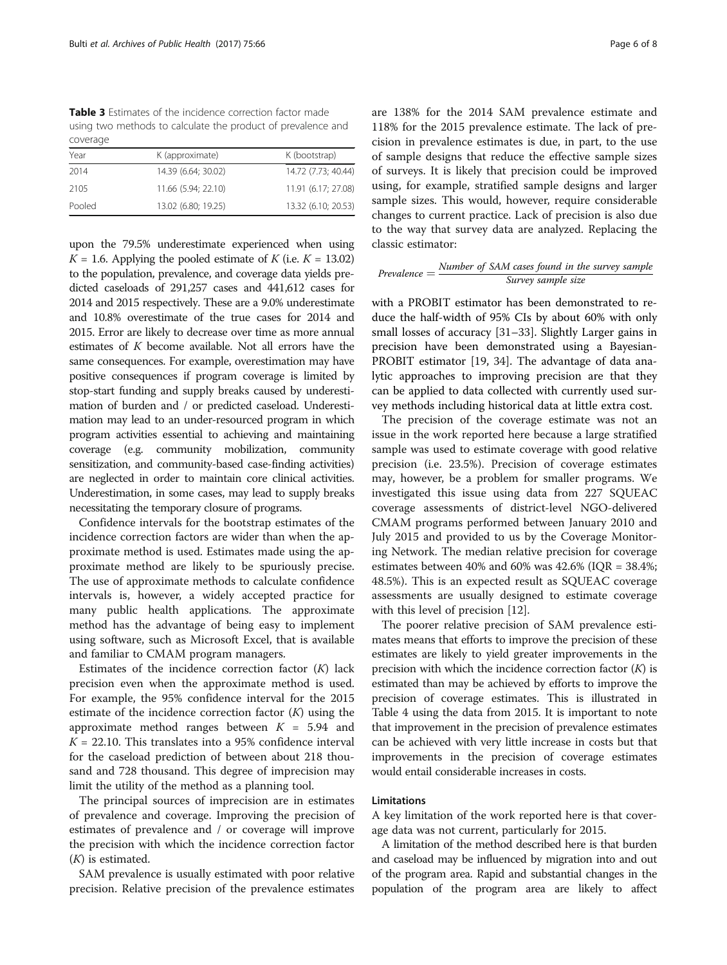<span id="page-5-0"></span>Table 3 Estimates of the incidence correction factor made using two methods to calculate the product of prevalence and coverage

| Year   | K (approximate)     | K (bootstrap)       |
|--------|---------------------|---------------------|
| 2014   | 14.39 (6.64; 30.02) | 14.72 (7.73; 40.44) |
| 2105   | 11.66 (5.94; 22.10) | 11.91 (6.17; 27.08) |
| Pooled | 13.02 (6.80; 19.25) | 13.32 (6.10; 20.53) |

upon the 79.5% underestimate experienced when using  $K = 1.6$ . Applying the pooled estimate of K (i.e.  $K = 13.02$ ) to the population, prevalence, and coverage data yields predicted caseloads of 291,257 cases and 441,612 cases for 2014 and 2015 respectively. These are a 9.0% underestimate and 10.8% overestimate of the true cases for 2014 and 2015. Error are likely to decrease over time as more annual estimates of  $K$  become available. Not all errors have the same consequences. For example, overestimation may have positive consequences if program coverage is limited by stop-start funding and supply breaks caused by underestimation of burden and / or predicted caseload. Underestimation may lead to an under-resourced program in which program activities essential to achieving and maintaining coverage (e.g. community mobilization, community sensitization, and community-based case-finding activities) are neglected in order to maintain core clinical activities. Underestimation, in some cases, may lead to supply breaks necessitating the temporary closure of programs.

Confidence intervals for the bootstrap estimates of the incidence correction factors are wider than when the approximate method is used. Estimates made using the approximate method are likely to be spuriously precise. The use of approximate methods to calculate confidence intervals is, however, a widely accepted practice for many public health applications. The approximate method has the advantage of being easy to implement using software, such as Microsoft Excel, that is available and familiar to CMAM program managers.

Estimates of the incidence correction factor  $(K)$  lack precision even when the approximate method is used. For example, the 95% confidence interval for the 2015 estimate of the incidence correction factor  $(K)$  using the approximate method ranges between  $K = 5.94$  and  $K = 22.10$ . This translates into a 95% confidence interval for the caseload prediction of between about 218 thousand and 728 thousand. This degree of imprecision may limit the utility of the method as a planning tool.

The principal sources of imprecision are in estimates of prevalence and coverage. Improving the precision of estimates of prevalence and / or coverage will improve the precision with which the incidence correction factor  $(K)$  is estimated.

SAM prevalence is usually estimated with poor relative precision. Relative precision of the prevalence estimates are 138% for the 2014 SAM prevalence estimate and 118% for the 2015 prevalence estimate. The lack of precision in prevalence estimates is due, in part, to the use of sample designs that reduce the effective sample sizes of surveys. It is likely that precision could be improved using, for example, stratified sample designs and larger sample sizes. This would, however, require considerable changes to current practice. Lack of precision is also due to the way that survey data are analyzed. Replacing the classic estimator:

$$
Prevalence = \frac{Number\ of\ SAM\ cases\ found\ in\ the\ survey\ sample}{Super\ S, where the\ sample\ size}
$$

with a PROBIT estimator has been demonstrated to reduce the half-width of 95% CIs by about 60% with only small losses of accuracy [\[31](#page-7-0)–[33\]](#page-7-0). Slightly Larger gains in precision have been demonstrated using a Bayesian-PROBIT estimator [[19,](#page-7-0) [34](#page-7-0)]. The advantage of data analytic approaches to improving precision are that they can be applied to data collected with currently used survey methods including historical data at little extra cost.

The precision of the coverage estimate was not an issue in the work reported here because a large stratified sample was used to estimate coverage with good relative precision (i.e. 23.5%). Precision of coverage estimates may, however, be a problem for smaller programs. We investigated this issue using data from 227 SQUEAC coverage assessments of district-level NGO-delivered CMAM programs performed between January 2010 and July 2015 and provided to us by the Coverage Monitoring Network. The median relative precision for coverage estimates between 40% and 60% was 42.6% (IQR =  $38.4\%$ ; 48.5%). This is an expected result as SQUEAC coverage assessments are usually designed to estimate coverage with this level of precision [\[12\]](#page-7-0).

The poorer relative precision of SAM prevalence estimates means that efforts to improve the precision of these estimates are likely to yield greater improvements in the precision with which the incidence correction factor  $(K)$  is estimated than may be achieved by efforts to improve the precision of coverage estimates. This is illustrated in Table [4](#page-6-0) using the data from 2015. It is important to note that improvement in the precision of prevalence estimates can be achieved with very little increase in costs but that improvements in the precision of coverage estimates would entail considerable increases in costs.

## Limitations

A key limitation of the work reported here is that coverage data was not current, particularly for 2015.

A limitation of the method described here is that burden and caseload may be influenced by migration into and out of the program area. Rapid and substantial changes in the population of the program area are likely to affect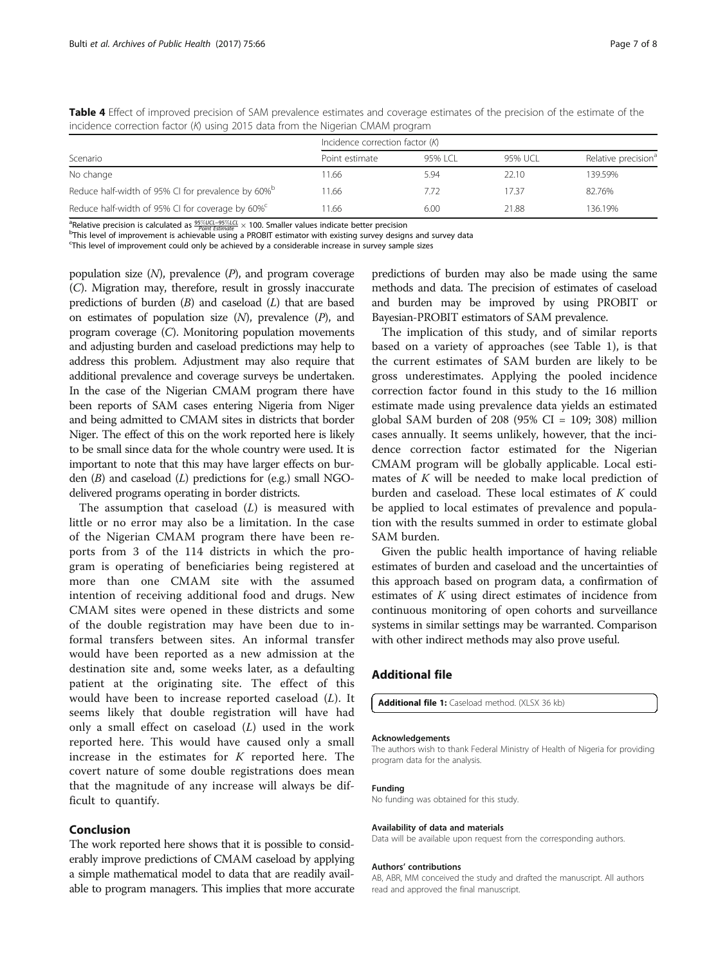|                                                                |                | Incidence correction factor $(K)$ |         |                                 |  |  |
|----------------------------------------------------------------|----------------|-----------------------------------|---------|---------------------------------|--|--|
| Scenario                                                       | Point estimate | 95% I CL                          | 95% UCL | Relative precision <sup>a</sup> |  |  |
| No change                                                      | 11.66          | 5.94                              | 22.10   | 139.59%                         |  |  |
| Reduce half-width of 95% CI for prevalence by 60% <sup>b</sup> | 11.66          | 772                               | 1737    | 82.76%                          |  |  |
| Reduce half-width of 95% CI for coverage by 60% <sup>c</sup>   | 1.66           | 6.00                              | 21.88   | 136.19%                         |  |  |

<span id="page-6-0"></span>Table 4 Effect of improved precision of SAM prevalence estimates and coverage estimates of the precision of the estimate of the incidence correction factor (K) using 2015 data from the Nigerian CMAM program

<sup>a</sup>Relative precision is calculated as <sup>95%</sup>UCL−95%LCL × 100. Smaller values indicate better precision<br><sup>b</sup>This lovel of improvement is achievable using a PPOPLT estimator with ovisting survey design

Relative precision is calculated as *<del>chatic Estimate X</del>* 100. Smaller values indicate better precision<br>This level of improvement is achievable using a PROBIT estimator with existing survey designs and survey data

c This level of improvement could only be achieved by a considerable increase in survey sample sizes

population size  $(N)$ , prevalence  $(P)$ , and program coverage (C). Migration may, therefore, result in grossly inaccurate predictions of burden  $(B)$  and caseload  $(L)$  that are based on estimates of population size  $(N)$ , prevalence  $(P)$ , and program coverage (C). Monitoring population movements and adjusting burden and caseload predictions may help to address this problem. Adjustment may also require that additional prevalence and coverage surveys be undertaken. In the case of the Nigerian CMAM program there have been reports of SAM cases entering Nigeria from Niger and being admitted to CMAM sites in districts that border Niger. The effect of this on the work reported here is likely to be small since data for the whole country were used. It is important to note that this may have larger effects on burden  $(B)$  and caseload  $(L)$  predictions for (e.g.) small NGOdelivered programs operating in border districts.

The assumption that caseload  $(L)$  is measured with little or no error may also be a limitation. In the case of the Nigerian CMAM program there have been reports from 3 of the 114 districts in which the program is operating of beneficiaries being registered at more than one CMAM site with the assumed intention of receiving additional food and drugs. New CMAM sites were opened in these districts and some of the double registration may have been due to informal transfers between sites. An informal transfer would have been reported as a new admission at the destination site and, some weeks later, as a defaulting patient at the originating site. The effect of this would have been to increase reported caseload (L). It seems likely that double registration will have had only a small effect on caseload  $(L)$  used in the work reported here. This would have caused only a small increase in the estimates for  $K$  reported here. The covert nature of some double registrations does mean that the magnitude of any increase will always be difficult to quantify.

## Conclusion

The work reported here shows that it is possible to considerably improve predictions of CMAM caseload by applying a simple mathematical model to data that are readily available to program managers. This implies that more accurate

predictions of burden may also be made using the same methods and data. The precision of estimates of caseload and burden may be improved by using PROBIT or Bayesian-PROBIT estimators of SAM prevalence.

The implication of this study, and of similar reports based on a variety of approaches (see Table [1\)](#page-3-0), is that the current estimates of SAM burden are likely to be gross underestimates. Applying the pooled incidence correction factor found in this study to the 16 million estimate made using prevalence data yields an estimated global SAM burden of  $208$  (95% CI = 109; 308) million cases annually. It seems unlikely, however, that the incidence correction factor estimated for the Nigerian CMAM program will be globally applicable. Local estimates of K will be needed to make local prediction of burden and caseload. These local estimates of K could be applied to local estimates of prevalence and population with the results summed in order to estimate global SAM burden.

Given the public health importance of having reliable estimates of burden and caseload and the uncertainties of this approach based on program data, a confirmation of estimates of  $K$  using direct estimates of incidence from continuous monitoring of open cohorts and surveillance systems in similar settings may be warranted. Comparison with other indirect methods may also prove useful.

## Additional file

[Additional file 1:](dx.doi.org/10.1186/s13690-017-0234-4) Caseload method. (XLSX 36 kb)

#### Acknowledgements

The authors wish to thank Federal Ministry of Health of Nigeria for providing program data for the analysis.

## Funding

No funding was obtained for this study.

#### Availability of data and materials

Data will be available upon request from the corresponding authors.

#### Authors' contributions

AB, ABR, MM conceived the study and drafted the manuscript. All authors read and approved the final manuscript.